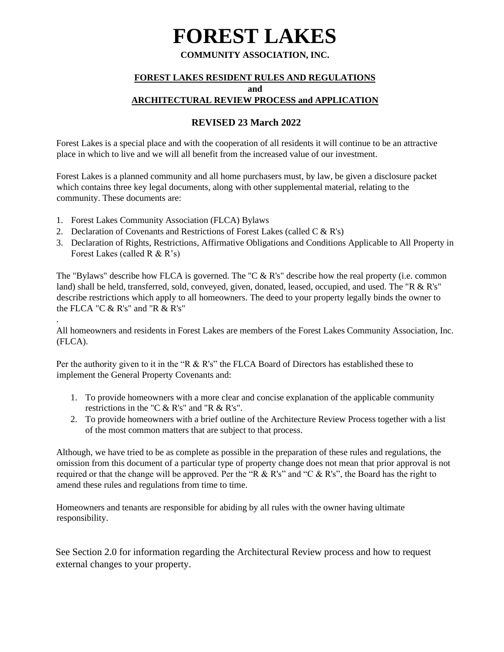# **FOREST LAKES**

#### **COMMUNITY ASSOCIATION, INC.**

#### **FOREST LAKES RESIDENT RULES AND REGULATIONS**

**and** 

#### **ARCHITECTURAL REVIEW PROCESS and APPLICATION**

#### **REVISED 23 March 2022**

Forest Lakes is a special place and with the cooperation of all residents it will continue to be an attractive place in which to live and we will all benefit from the increased value of our investment.

Forest Lakes is a planned community and all home purchasers must, by law, be given a disclosure packet which contains three key legal documents, along with other supplemental material, relating to the community. These documents are:

1. Forest Lakes Community Association (FLCA) Bylaws

.

- 2. Declaration of Covenants and Restrictions of Forest Lakes (called  $C & R's$ )
- 3. Declaration of Rights, Restrictions, Affirmative Obligations and Conditions Applicable to All Property in Forest Lakes (called R & R's)

The "Bylaws" describe how FLCA is governed. The "C & R's" describe how the real property (i.e. common land) shall be held, transferred, sold, conveyed, given, donated, leased, occupied, and used. The "R & R's" describe restrictions which apply to all homeowners. The deed to your property legally binds the owner to the FLCA "C & R's" and "R & R's"

All homeowners and residents in Forest Lakes are members of the Forest Lakes Community Association, Inc. (FLCA).

Per the authority given to it in the "R & R's" the FLCA Board of Directors has established these to implement the General Property Covenants and:

- 1. To provide homeowners with a more clear and concise explanation of the applicable community restrictions in the "C & R's" and "R & R's".
- 2. To provide homeowners with a brief outline of the Architecture Review Process together with a list of the most common matters that are subject to that process.

Although, we have tried to be as complete as possible in the preparation of these rules and regulations, the omission from this document of a particular type of property change does not mean that prior approval is not required or that the change will be approved. Per the "R & R's" and "C & R's", the Board has the right to amend these rules and regulations from time to time.

Homeowners and tenants are responsible for abiding by all rules with the owner having ultimate responsibility.

See Section 2.0 for information regarding the Architectural Review process and how to request external changes to your property.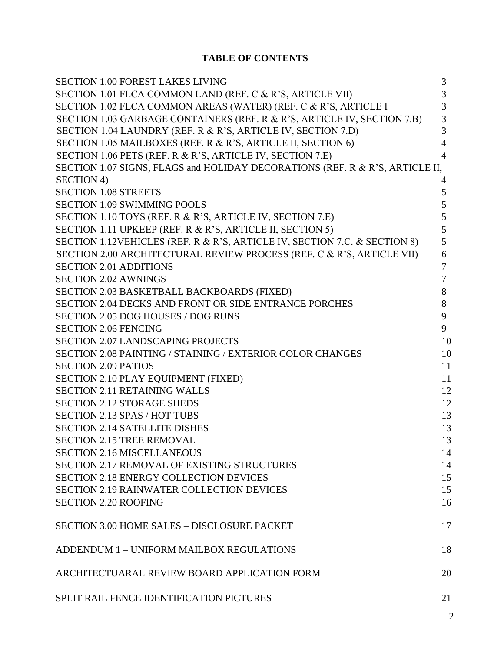### **TABLE OF CONTENTS**

| <b>SECTION 1.00 FOREST LAKES LIVING</b>                                      | 3              |
|------------------------------------------------------------------------------|----------------|
| SECTION 1.01 FLCA COMMON LAND (REF. C & R'S, ARTICLE VII)                    | 3              |
| SECTION 1.02 FLCA COMMON AREAS (WATER) (REF. C & R'S, ARTICLE I              | 3              |
| SECTION 1.03 GARBAGE CONTAINERS (REF. R & R'S, ARTICLE IV, SECTION 7.B)      | $\mathfrak{Z}$ |
| SECTION 1.04 LAUNDRY (REF. R & R'S, ARTICLE IV, SECTION 7.D)                 | 3              |
| SECTION 1.05 MAILBOXES (REF. R & R'S, ARTICLE II, SECTION 6)                 | $\overline{4}$ |
| SECTION 1.06 PETS (REF. R & R'S, ARTICLE IV, SECTION 7.E)                    | $\overline{4}$ |
| SECTION 1.07 SIGNS, FLAGS and HOLIDAY DECORATIONS (REF. R & R'S, ARTICLE II, |                |
| <b>SECTION 4)</b>                                                            | 4              |
| <b>SECTION 1.08 STREETS</b>                                                  | 5              |
| <b>SECTION 1.09 SWIMMING POOLS</b>                                           | 5              |
| SECTION 1.10 TOYS (REF. R & R'S, ARTICLE IV, SECTION 7.E)                    | 5              |
| SECTION 1.11 UPKEEP (REF. R & R'S, ARTICLE II, SECTION 5)                    | 5              |
| SECTION 1.12VEHICLES (REF. R & R'S, ARTICLE IV, SECTION 7.C. & SECTION 8)    | 5              |
| SECTION 2.00 ARCHITECTURAL REVIEW PROCESS (REF. C & R'S, ARTICLE VII)        | 6              |
| <b>SECTION 2.01 ADDITIONS</b>                                                | $\overline{7}$ |
| <b>SECTION 2.02 AWNINGS</b>                                                  | $\tau$         |
| SECTION 2.03 BASKETBALL BACKBOARDS (FIXED)                                   | 8              |
| SECTION 2.04 DECKS AND FRONT OR SIDE ENTRANCE PORCHES                        | 8              |
| <b>SECTION 2.05 DOG HOUSES / DOG RUNS</b>                                    | 9              |
| <b>SECTION 2.06 FENCING</b>                                                  | 9              |
| <b>SECTION 2.07 LANDSCAPING PROJECTS</b>                                     | 10             |
| SECTION 2.08 PAINTING / STAINING / EXTERIOR COLOR CHANGES                    | 10             |
| <b>SECTION 2.09 PATIOS</b>                                                   | 11             |
| SECTION 2.10 PLAY EQUIPMENT (FIXED)                                          | 11             |
| <b>SECTION 2.11 RETAINING WALLS</b>                                          | 12             |
| <b>SECTION 2.12 STORAGE SHEDS</b>                                            | 12             |
| <b>SECTION 2.13 SPAS / HOT TUBS</b>                                          | 13             |
| <b>SECTION 2.14 SATELLITE DISHES</b>                                         | 13             |
| <b>SECTION 2.15 TREE REMOVAL</b>                                             | 13             |
| <b>SECTION 2.16 MISCELLANEOUS</b>                                            | 14             |
| <b>SECTION 2.17 REMOVAL OF EXISTING STRUCTURES</b>                           | 14             |
| <b>SECTION 2.18 ENERGY COLLECTION DEVICES</b>                                | 15             |
| <b>SECTION 2.19 RAINWATER COLLECTION DEVICES</b>                             | 15             |
| <b>SECTION 2.20 ROOFING</b>                                                  | 16             |
|                                                                              |                |
| <b>SECTION 3.00 HOME SALES - DISCLOSURE PACKET</b>                           | 17             |
|                                                                              |                |
| ADDENDUM 1 - UNIFORM MAILBOX REGULATIONS                                     | 18             |
|                                                                              |                |
| ARCHITECTUARAL REVIEW BOARD APPLICATION FORM                                 | 20             |
|                                                                              |                |
| SPLIT RAIL FENCE IDENTIFICATION PICTURES                                     | 21             |
|                                                                              |                |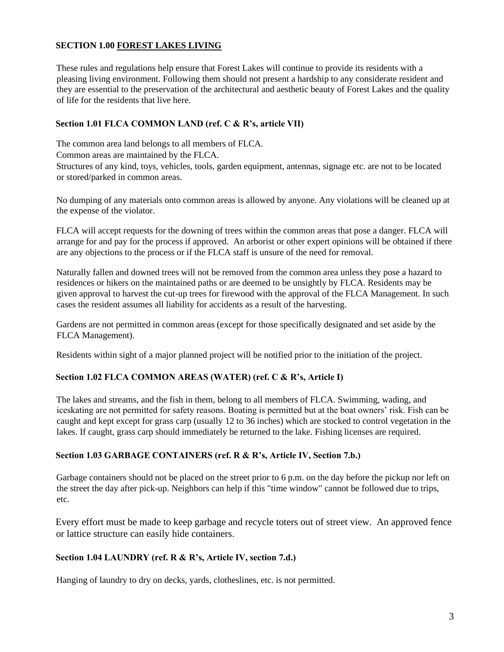#### **SECTION 1.00 FOREST LAKES LIVING**

These rules and regulations help ensure that Forest Lakes will continue to provide its residents with a pleasing living environment. Following them should not present a hardship to any considerate resident and they are essential to the preservation of the architectural and aesthetic beauty of Forest Lakes and the quality of life for the residents that live here.

#### **Section 1.01 FLCA COMMON LAND (ref. C & R's, article VII)**

The common area land belongs to all members of FLCA.

Common areas are maintained by the FLCA.

Structures of any kind, toys, vehicles, tools, garden equipment, antennas, signage etc. are not to be located or stored/parked in common areas.

No dumping of any materials onto common areas is allowed by anyone. Any violations will be cleaned up at the expense of the violator.

FLCA will accept requests for the downing of trees within the common areas that pose a danger. FLCA will arrange for and pay for the process if approved. An arborist or other expert opinions will be obtained if there are any objections to the process or if the FLCA staff is unsure of the need for removal.

Naturally fallen and downed trees will not be removed from the common area unless they pose a hazard to residences or hikers on the maintained paths or are deemed to be unsightly by FLCA. Residents may be given approval to harvest the cut-up trees for firewood with the approval of the FLCA Management. In such cases the resident assumes all liability for accidents as a result of the harvesting.

Gardens are not permitted in common areas (except for those specifically designated and set aside by the FLCA Management).

Residents within sight of a major planned project will be notified prior to the initiation of the project.

#### **Section 1.02 FLCA COMMON AREAS (WATER) (ref. C & R's, Article I)**

The lakes and streams, and the fish in them, belong to all members of FLCA. Swimming, wading, and iceskating are not permitted for safety reasons. Boating is permitted but at the boat owners' risk. Fish can be caught and kept except for grass carp (usually 12 to 36 inches) which are stocked to control vegetation in the lakes. If caught, grass carp should immediately be returned to the lake. Fishing licenses are required.

#### **Section 1.03 GARBAGE CONTAINERS (ref. R & R's, Article IV, Section 7.b.)**

Garbage containers should not be placed on the street prior to 6 p.m. on the day before the pickup nor left on the street the day after pick-up. Neighbors can help if this "time window" cannot be followed due to trips, etc.

Every effort must be made to keep garbage and recycle toters out of street view. An approved fence or lattice structure can easily hide containers.

#### **Section 1.04 LAUNDRY (ref. R & R's, Article IV, section 7.d.)**

Hanging of laundry to dry on decks, yards, clotheslines, etc. is not permitted.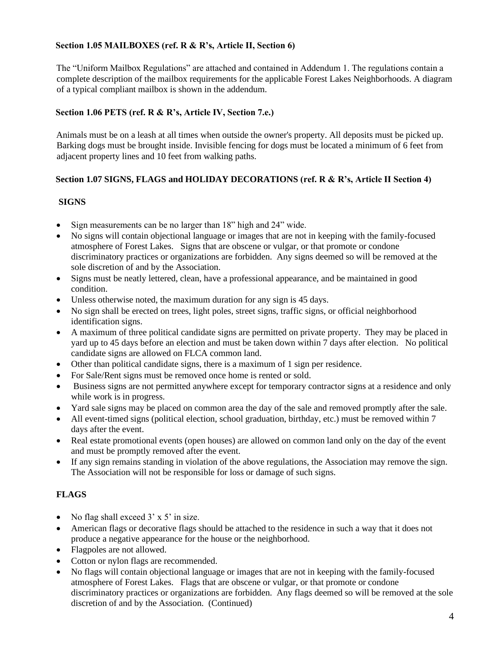#### **Section 1.05 MAILBOXES (ref. R & R's, Article II, Section 6)**

The "Uniform Mailbox Regulations" are attached and contained in Addendum 1. The regulations contain a complete description of the mailbox requirements for the applicable Forest Lakes Neighborhoods. A diagram of a typical compliant mailbox is shown in the addendum.

#### **Section 1.06 PETS (ref. R & R's, Article IV, Section 7.e.)**

Animals must be on a leash at all times when outside the owner's property. All deposits must be picked up. Barking dogs must be brought inside. Invisible fencing for dogs must be located a minimum of 6 feet from adjacent property lines and 10 feet from walking paths.

#### **Section 1.07 SIGNS, FLAGS and HOLIDAY DECORATIONS (ref. R & R's, Article II Section 4)**

#### **SIGNS**

- Sign measurements can be no larger than 18" high and 24" wide.
- No signs will contain objectional language or images that are not in keeping with the family-focused atmosphere of Forest Lakes. Signs that are obscene or vulgar, or that promote or condone discriminatory practices or organizations are forbidden. Any signs deemed so will be removed at the sole discretion of and by the Association.
- Signs must be neatly lettered, clean, have a professional appearance, and be maintained in good condition.
- Unless otherwise noted, the maximum duration for any sign is 45 days.
- No sign shall be erected on trees, light poles, street signs, traffic signs, or official neighborhood identification signs.
- A maximum of three political candidate signs are permitted on private property. They may be placed in yard up to 45 days before an election and must be taken down within 7 days after election. No political candidate signs are allowed on FLCA common land.
- Other than political candidate signs, there is a maximum of 1 sign per residence.
- For Sale/Rent signs must be removed once home is rented or sold.
- Business signs are not permitted anywhere except for temporary contractor signs at a residence and only while work is in progress.
- Yard sale signs may be placed on common area the day of the sale and removed promptly after the sale.
- All event-timed signs (political election, school graduation, birthday, etc.) must be removed within 7 days after the event.
- Real estate promotional events (open houses) are allowed on common land only on the day of the event and must be promptly removed after the event.
- If any sign remains standing in violation of the above regulations, the Association may remove the sign. The Association will not be responsible for loss or damage of such signs.

#### **FLAGS**

- No flag shall exceed  $3' \times 5'$  in size.
- American flags or decorative flags should be attached to the residence in such a way that it does not produce a negative appearance for the house or the neighborhood.
- Flagpoles are not allowed.
- Cotton or nylon flags are recommended.
- No flags will contain objectional language or images that are not in keeping with the family-focused atmosphere of Forest Lakes. Flags that are obscene or vulgar, or that promote or condone discriminatory practices or organizations are forbidden. Any flags deemed so will be removed at the sole discretion of and by the Association. (Continued)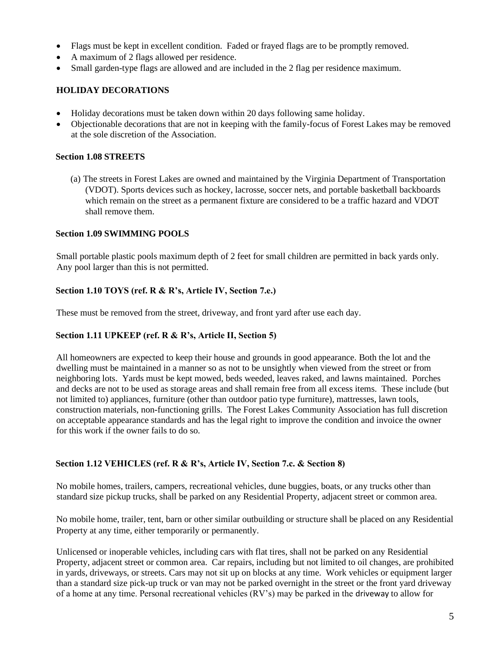- Flags must be kept in excellent condition. Faded or frayed flags are to be promptly removed.
- A maximum of 2 flags allowed per residence.
- Small garden-type flags are allowed and are included in the 2 flag per residence maximum.

#### **HOLIDAY DECORATIONS**

- Holiday decorations must be taken down within 20 days following same holiday.
- Objectionable decorations that are not in keeping with the family-focus of Forest Lakes may be removed at the sole discretion of the Association.

#### **Section 1.08 STREETS**

(a) The streets in Forest Lakes are owned and maintained by the Virginia Department of Transportation (VDOT). Sports devices such as hockey, lacrosse, soccer nets, and portable basketball backboards which remain on the street as a permanent fixture are considered to be a traffic hazard and VDOT shall remove them.

#### **Section 1.09 SWIMMING POOLS**

Small portable plastic pools maximum depth of 2 feet for small children are permitted in back yards only. Any pool larger than this is not permitted.

#### **Section 1.10 TOYS (ref. R & R's, Article IV, Section 7.e.)**

These must be removed from the street, driveway, and front yard after use each day.

#### **Section 1.11 UPKEEP (ref. R & R's, Article II, Section 5)**

All homeowners are expected to keep their house and grounds in good appearance. Both the lot and the dwelling must be maintained in a manner so as not to be unsightly when viewed from the street or from neighboring lots. Yards must be kept mowed, beds weeded, leaves raked, and lawns maintained. Porches and decks are not to be used as storage areas and shall remain free from all excess items. These include (but not limited to) appliances, furniture (other than outdoor patio type furniture), mattresses, lawn tools, construction materials, non-functioning grills. The Forest Lakes Community Association has full discretion on acceptable appearance standards and has the legal right to improve the condition and invoice the owner for this work if the owner fails to do so.

#### **Section 1.12 VEHICLES (ref. R & R's, Article IV, Section 7.c. & Section 8)**

No mobile homes, trailers, campers, recreational vehicles, dune buggies, boats, or any trucks other than standard size pickup trucks, shall be parked on any Residential Property, adjacent street or common area.

No mobile home, trailer, tent, barn or other similar outbuilding or structure shall be placed on any Residential Property at any time, either temporarily or permanently.

Unlicensed or inoperable vehicles, including cars with flat tires, shall not be parked on any Residential Property, adjacent street or common area. Car repairs, including but not limited to oil changes, are prohibited in yards, driveways, or streets. Cars may not sit up on blocks at any time. Work vehicles or equipment larger than a standard size pick-up truck or van may not be parked overnight in the street or the front yard driveway of a home at any time. Personal recreational vehicles (RV's) may be parked in the driveway to allow for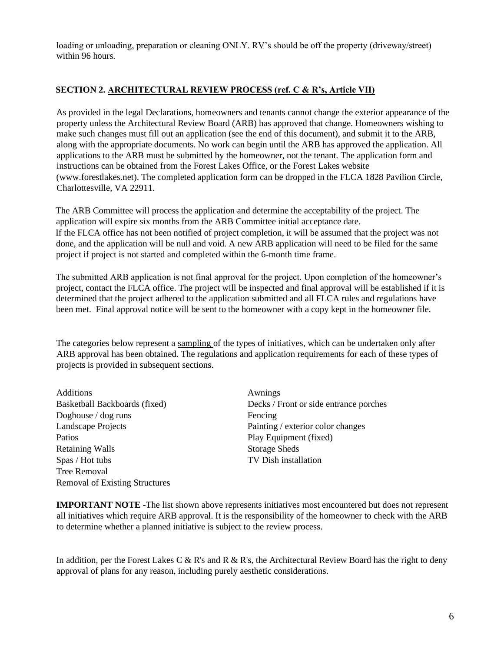loading or unloading, preparation or cleaning ONLY. RV's should be off the property (driveway/street) within 96 hours.

#### **SECTION 2. ARCHITECTURAL REVIEW PROCESS (ref. C & R's, Article VII)**

As provided in the legal Declarations, homeowners and tenants cannot change the exterior appearance of the property unless the Architectural Review Board (ARB) has approved that change. Homeowners wishing to make such changes must fill out an application (see the end of this document), and submit it to the ARB, along with the appropriate documents. No work can begin until the ARB has approved the application. All applications to the ARB must be submitted by the homeowner, not the tenant. The application form and instructions can be obtained from the Forest Lakes Office, or the Forest Lakes website (www.forestlakes.net). The completed application form can be dropped in the FLCA 1828 Pavilion Circle, Charlottesville, VA 22911.

The ARB Committee will process the application and determine the acceptability of the project. The application will expire six months from the ARB Committee initial acceptance date. If the FLCA office has not been notified of project completion, it will be assumed that the project was not done, and the application will be null and void. A new ARB application will need to be filed for the same project if project is not started and completed within the 6-month time frame.

The submitted ARB application is not final approval for the project. Upon completion of the homeowner's project, contact the FLCA office. The project will be inspected and final approval will be established if it is determined that the project adhered to the application submitted and all FLCA rules and regulations have been met. Final approval notice will be sent to the homeowner with a copy kept in the homeowner file.

The categories below represent a sampling of the types of initiatives, which can be undertaken only after ARB approval has been obtained. The regulations and application requirements for each of these types of projects is provided in subsequent sections.

Additions Awnings Doghouse / dog runs Fencing Landscape Projects Painting / exterior color changes Patios Pation Play Equipment (fixed) Retaining Walls Storage Sheds Spas / Hot tubs TV Dish installation Tree Removal Removal of Existing Structures

Basketball Backboards (fixed) Decks / Front or side entrance porches

**IMPORTANT NOTE -**The list shown above represents initiatives most encountered but does not represent all initiatives which require ARB approval. It is the responsibility of the homeowner to check with the ARB to determine whether a planned initiative is subject to the review process.

In addition, per the Forest Lakes C & R's and R & R's, the Architectural Review Board has the right to deny approval of plans for any reason, including purely aesthetic considerations.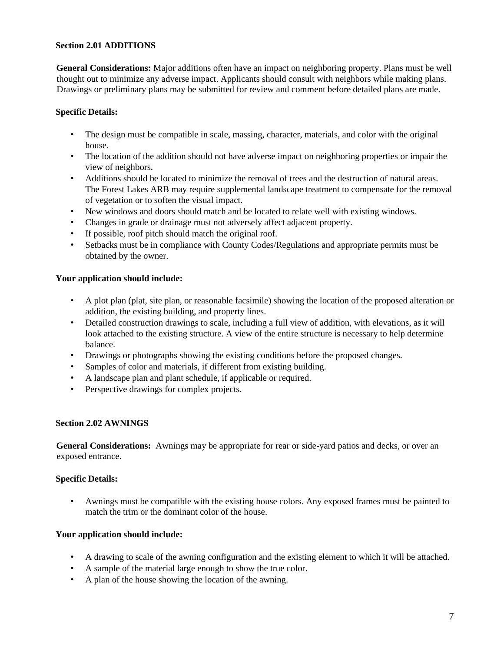#### **Section 2.01 ADDITIONS**

**General Considerations:** Major additions often have an impact on neighboring property. Plans must be well thought out to minimize any adverse impact. Applicants should consult with neighbors while making plans. Drawings or preliminary plans may be submitted for review and comment before detailed plans are made.

#### **Specific Details:**

- The design must be compatible in scale, massing, character, materials, and color with the original house.
- The location of the addition should not have adverse impact on neighboring properties or impair the view of neighbors.
- Additions should be located to minimize the removal of trees and the destruction of natural areas. The Forest Lakes ARB may require supplemental landscape treatment to compensate for the removal of vegetation or to soften the visual impact.
- New windows and doors should match and be located to relate well with existing windows.
- Changes in grade or drainage must not adversely affect adjacent property.
- If possible, roof pitch should match the original roof.
- Setbacks must be in compliance with County Codes/Regulations and appropriate permits must be obtained by the owner.

#### **Your application should include:**

- A plot plan (plat, site plan, or reasonable facsimile) showing the location of the proposed alteration or addition, the existing building, and property lines.
- Detailed construction drawings to scale, including a full view of addition, with elevations, as it will look attached to the existing structure. A view of the entire structure is necessary to help determine balance.
- Drawings or photographs showing the existing conditions before the proposed changes.
- Samples of color and materials, if different from existing building.
- A landscape plan and plant schedule, if applicable or required.
- Perspective drawings for complex projects.

#### **Section 2.02 AWNINGS**

**General Considerations:** Awnings may be appropriate for rear or side-yard patios and decks, or over an exposed entrance.

#### **Specific Details:**

• Awnings must be compatible with the existing house colors. Any exposed frames must be painted to match the trim or the dominant color of the house.

- A drawing to scale of the awning configuration and the existing element to which it will be attached.
- A sample of the material large enough to show the true color.
- A plan of the house showing the location of the awning.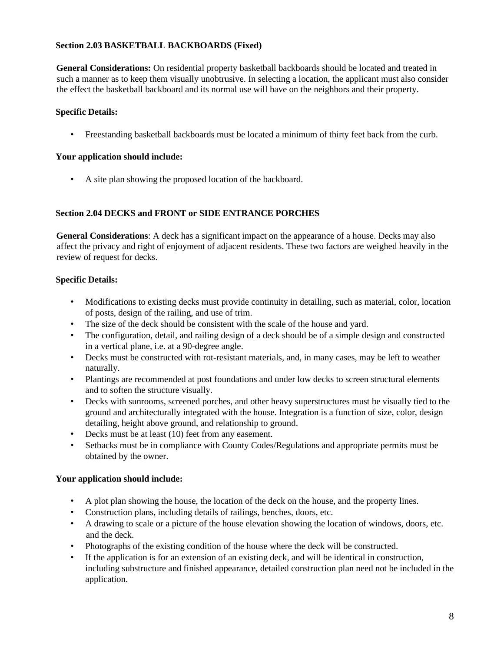#### **Section 2.03 BASKETBALL BACKBOARDS (Fixed)**

**General Considerations:** On residential property basketball backboards should be located and treated in such a manner as to keep them visually unobtrusive. In selecting a location, the applicant must also consider the effect the basketball backboard and its normal use will have on the neighbors and their property.

#### **Specific Details:**

• Freestanding basketball backboards must be located a minimum of thirty feet back from the curb.

#### **Your application should include:**

• A site plan showing the proposed location of the backboard.

#### **Section 2.04 DECKS and FRONT or SIDE ENTRANCE PORCHES**

**General Considerations**: A deck has a significant impact on the appearance of a house. Decks may also affect the privacy and right of enjoyment of adjacent residents. These two factors are weighed heavily in the review of request for decks.

#### **Specific Details:**

- Modifications to existing decks must provide continuity in detailing, such as material, color, location of posts, design of the railing, and use of trim.
- The size of the deck should be consistent with the scale of the house and yard.
- The configuration, detail, and railing design of a deck should be of a simple design and constructed in a vertical plane, i.e. at a 90-degree angle.
- Decks must be constructed with rot-resistant materials, and, in many cases, may be left to weather naturally.
- Plantings are recommended at post foundations and under low decks to screen structural elements and to soften the structure visually.
- Decks with sunrooms, screened porches, and other heavy superstructures must be visually tied to the ground and architecturally integrated with the house. Integration is a function of size, color, design detailing, height above ground, and relationship to ground.
- Decks must be at least (10) feet from any easement.
- Setbacks must be in compliance with County Codes/Regulations and appropriate permits must be obtained by the owner.

- A plot plan showing the house, the location of the deck on the house, and the property lines.
- Construction plans, including details of railings, benches, doors, etc.
- A drawing to scale or a picture of the house elevation showing the location of windows, doors, etc. and the deck.
- Photographs of the existing condition of the house where the deck will be constructed.
- If the application is for an extension of an existing deck, and will be identical in construction, including substructure and finished appearance, detailed construction plan need not be included in the application.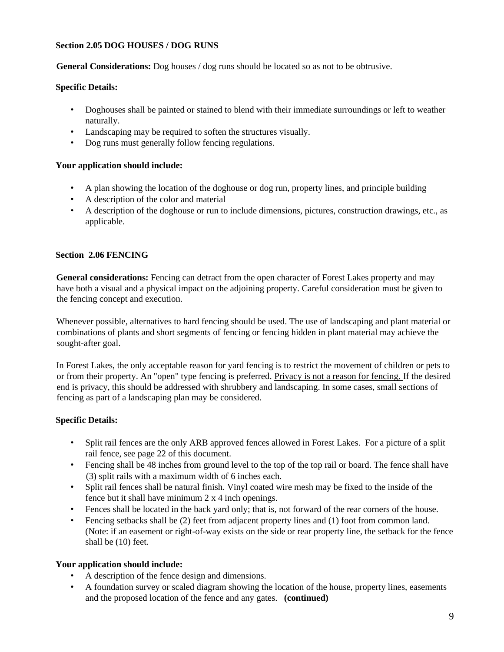#### **Section 2.05 DOG HOUSES / DOG RUNS**

**General Considerations:** Dog houses / dog runs should be located so as not to be obtrusive.

#### **Specific Details:**

- Doghouses shall be painted or stained to blend with their immediate surroundings or left to weather naturally.
- Landscaping may be required to soften the structures visually.
- Dog runs must generally follow fencing regulations.

#### **Your application should include:**

- A plan showing the location of the doghouse or dog run, property lines, and principle building
- A description of the color and material
- A description of the doghouse or run to include dimensions, pictures, construction drawings, etc., as applicable.

#### **Section 2.06 FENCING**

**General considerations:** Fencing can detract from the open character of Forest Lakes property and may have both a visual and a physical impact on the adjoining property. Careful consideration must be given to the fencing concept and execution.

Whenever possible, alternatives to hard fencing should be used. The use of landscaping and plant material or combinations of plants and short segments of fencing or fencing hidden in plant material may achieve the sought-after goal.

In Forest Lakes, the only acceptable reason for yard fencing is to restrict the movement of children or pets to or from their property. An "open" type fencing is preferred. Privacy is not a reason for fencing. If the desired end is privacy, this should be addressed with shrubbery and landscaping. In some cases, small sections of fencing as part of a landscaping plan may be considered.

#### **Specific Details:**

- Split rail fences are the only ARB approved fences allowed in Forest Lakes. For a picture of a split rail fence, see page 22 of this document.
- Fencing shall be 48 inches from ground level to the top of the top rail or board. The fence shall have (3) split rails with a maximum width of 6 inches each.
- Split rail fences shall be natural finish. Vinyl coated wire mesh may be fixed to the inside of the fence but it shall have minimum 2 x 4 inch openings.
- Fences shall be located in the back yard only; that is, not forward of the rear corners of the house.
- Fencing setbacks shall be (2) feet from adjacent property lines and (1) foot from common land. (Note: if an easement or right-of-way exists on the side or rear property line, the setback for the fence shall be (10) feet.

- A description of the fence design and dimensions.
- A foundation survey or scaled diagram showing the location of the house, property lines, easements and the proposed location of the fence and any gates. **(continued)**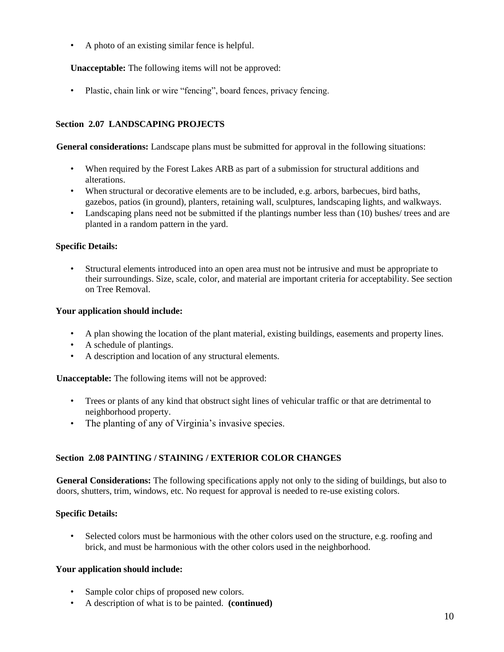• A photo of an existing similar fence is helpful.

**Unacceptable:** The following items will not be approved:

• Plastic, chain link or wire "fencing", board fences, privacy fencing.

#### **Section 2.07 LANDSCAPING PROJECTS**

**General considerations:** Landscape plans must be submitted for approval in the following situations:

- When required by the Forest Lakes ARB as part of a submission for structural additions and alterations.
- When structural or decorative elements are to be included, e.g. arbors, barbecues, bird baths, gazebos, patios (in ground), planters, retaining wall, sculptures, landscaping lights, and walkways.
- Landscaping plans need not be submitted if the plantings number less than (10) bushes/ trees and are planted in a random pattern in the yard.

#### **Specific Details:**

• Structural elements introduced into an open area must not be intrusive and must be appropriate to their surroundings. Size, scale, color, and material are important criteria for acceptability. See section on Tree Removal.

#### **Your application should include:**

- A plan showing the location of the plant material, existing buildings, easements and property lines.
- A schedule of plantings.
- A description and location of any structural elements.

**Unacceptable:** The following items will not be approved:

- Trees or plants of any kind that obstruct sight lines of vehicular traffic or that are detrimental to neighborhood property.
- The planting of any of Virginia's invasive species.

#### **Section 2.08 PAINTING / STAINING / EXTERIOR COLOR CHANGES**

**General Considerations:** The following specifications apply not only to the siding of buildings, but also to doors, shutters, trim, windows, etc. No request for approval is needed to re-use existing colors.

#### **Specific Details:**

• Selected colors must be harmonious with the other colors used on the structure, e.g. roofing and brick, and must be harmonious with the other colors used in the neighborhood.

- Sample color chips of proposed new colors.
- A description of what is to be painted. **(continued)**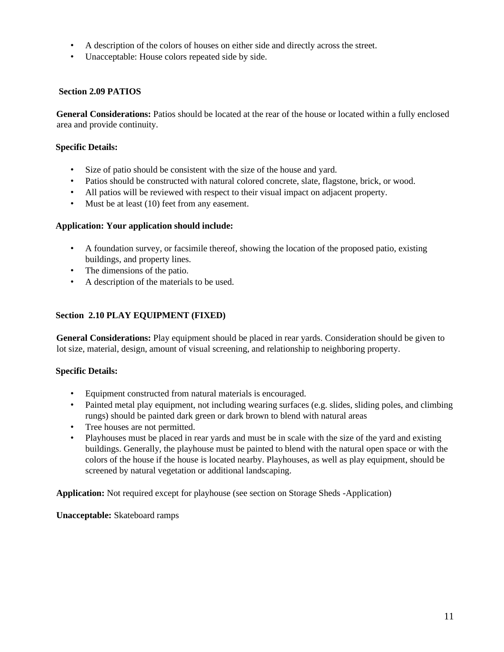- A description of the colors of houses on either side and directly across the street.
- Unacceptable: House colors repeated side by side.

#### **Section 2.09 PATIOS**

**General Considerations:** Patios should be located at the rear of the house or located within a fully enclosed area and provide continuity.

#### **Specific Details:**

- Size of patio should be consistent with the size of the house and yard.
- Patios should be constructed with natural colored concrete, slate, flagstone, brick, or wood.
- All patios will be reviewed with respect to their visual impact on adjacent property.
- Must be at least (10) feet from any easement.

#### **Application: Your application should include:**

- A foundation survey, or facsimile thereof, showing the location of the proposed patio, existing buildings, and property lines.
- The dimensions of the patio.
- A description of the materials to be used.

#### **Section 2.10 PLAY EQUIPMENT (FIXED)**

**General Considerations:** Play equipment should be placed in rear yards. Consideration should be given to lot size, material, design, amount of visual screening, and relationship to neighboring property.

#### **Specific Details:**

- Equipment constructed from natural materials is encouraged.
- Painted metal play equipment, not including wearing surfaces (e.g. slides, sliding poles, and climbing rungs) should be painted dark green or dark brown to blend with natural areas
- Tree houses are not permitted.
- Playhouses must be placed in rear yards and must be in scale with the size of the yard and existing buildings. Generally, the playhouse must be painted to blend with the natural open space or with the colors of the house if the house is located nearby. Playhouses, as well as play equipment, should be screened by natural vegetation or additional landscaping.

**Application:** Not required except for playhouse (see section on Storage Sheds -Application)

**Unacceptable:** Skateboard ramps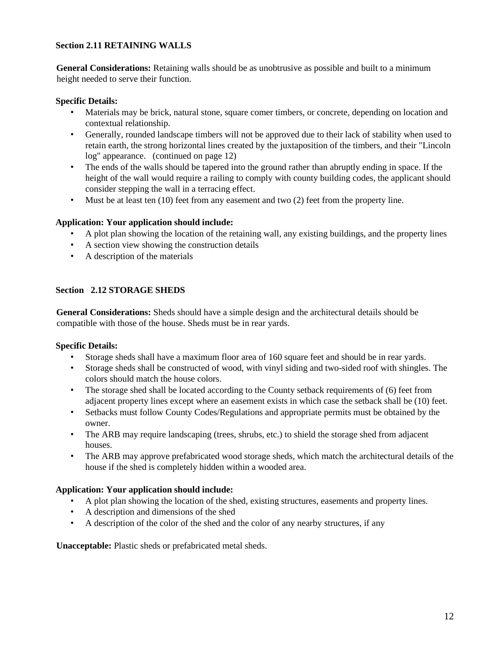#### **Section 2.11 RETAINING WALLS**

**General Considerations:** Retaining walls should be as unobtrusive as possible and built to a minimum height needed to serve their function.

#### **Specific Details:**

- Materials may be brick, natural stone, square comer timbers, or concrete, depending on location and contextual relationship.
- Generally, rounded landscape timbers will not be approved due to their lack of stability when used to retain earth, the strong horizontal lines created by the juxtaposition of the timbers, and their "Lincoln log" appearance. (continued on page 12)
- The ends of the walls should be tapered into the ground rather than abruptly ending in space. If the height of the wall would require a railing to comply with county building codes, the applicant should consider stepping the wall in a terracing effect.
- Must be at least ten (10) feet from any easement and two (2) feet from the property line.

#### **Application: Your application should include:**

- A plot plan showing the location of the retaining wall, any existing buildings, and the property lines
- A section view showing the construction details
- A description of the materials

#### **Section 2.12 STORAGE SHEDS**

**General Considerations:** Sheds should have a simple design and the architectural details should be compatible with those of the house. Sheds must be in rear yards.

#### **Specific Details:**

- Storage sheds shall have a maximum floor area of 160 square feet and should be in rear yards.
- Storage sheds shall be constructed of wood, with vinyl siding and two-sided roof with shingles. The colors should match the house colors.
- The storage shed shall be located according to the County setback requirements of (6) feet from adjacent property lines except where an easement exists in which case the setback shall be (10) feet.
- Setbacks must follow County Codes/Regulations and appropriate permits must be obtained by the owner.
- The ARB may require landscaping (trees, shrubs, etc.) to shield the storage shed from adjacent houses.
- The ARB may approve prefabricated wood storage sheds, which match the architectural details of the house if the shed is completely hidden within a wooded area.

#### **Application: Your application should include:**

- A plot plan showing the location of the shed, existing structures, easements and property lines.
- A description and dimensions of the shed
- A description of the color of the shed and the color of any nearby structures, if any

**Unacceptable:** Plastic sheds or prefabricated metal sheds.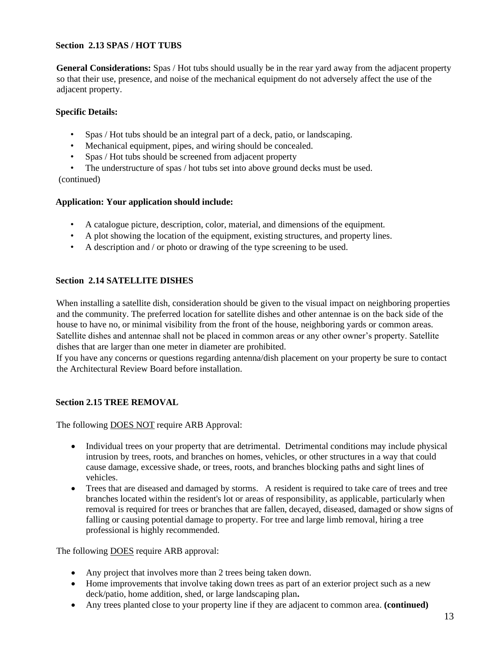#### **Section 2.13 SPAS / HOT TUBS**

**General Considerations:** Spas / Hot tubs should usually be in the rear yard away from the adjacent property so that their use, presence, and noise of the mechanical equipment do not adversely affect the use of the adjacent property.

#### **Specific Details:**

- Spas / Hot tubs should be an integral part of a deck, patio, or landscaping.
- Mechanical equipment, pipes, and wiring should be concealed.
- Spas / Hot tubs should be screened from adjacent property

The understructure of spas / hot tubs set into above ground decks must be used. (continued)

#### **Application: Your application should include:**

- A catalogue picture, description, color, material, and dimensions of the equipment.
- A plot showing the location of the equipment, existing structures, and property lines.
- A description and / or photo or drawing of the type screening to be used.

#### **Section 2.14 SATELLITE DISHES**

When installing a satellite dish, consideration should be given to the visual impact on neighboring properties and the community. The preferred location for satellite dishes and other antennae is on the back side of the house to have no, or minimal visibility from the front of the house, neighboring yards or common areas. Satellite dishes and antennae shall not be placed in common areas or any other owner's property. Satellite dishes that are larger than one meter in diameter are prohibited.

If you have any concerns or questions regarding antenna/dish placement on your property be sure to contact the Architectural Review Board before installation.

#### **Section 2.15 TREE REMOVAL**

The following **DOES NOT** require ARB Approval:

- Individual trees on your property that are detrimental. Detrimental conditions may include physical intrusion by trees, roots, and branches on homes, vehicles, or other structures in a way that could cause damage, excessive shade, or trees, roots, and branches blocking paths and sight lines of vehicles.
- Trees that are diseased and damaged by storms. A resident is required to take care of trees and tree branches located within the resident's lot or areas of responsibility, as applicable, particularly when removal is required for trees or branches that are fallen, decayed, diseased, damaged or show signs of falling or causing potential damage to property. For tree and large limb removal, hiring a tree professional is highly recommended.

The following **DOES** require ARB approval:

- Any project that involves more than 2 trees being taken down.
- Home improvements that involve taking down trees as part of an exterior project such as a new deck/patio, home addition, shed, or large landscaping plan**.**
- Any trees planted close to your property line if they are adjacent to common area. **(continued)**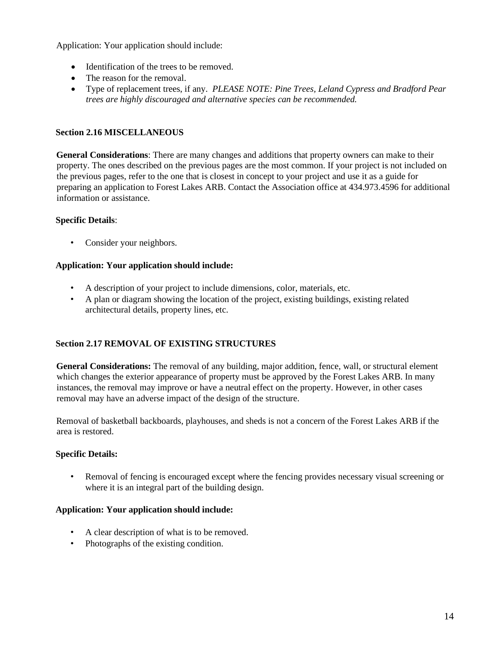Application: Your application should include:

- Identification of the trees to be removed.
- The reason for the removal.
- Type of replacement trees, if any. *PLEASE NOTE: Pine Trees, Leland Cypress and Bradford Pear trees are highly discouraged and alternative species can be recommended.*

#### **Section 2.16 MISCELLANEOUS**

**General Considerations**: There are many changes and additions that property owners can make to their property. The ones described on the previous pages are the most common. If your project is not included on the previous pages, refer to the one that is closest in concept to your project and use it as a guide for preparing an application to Forest Lakes ARB. Contact the Association office at 434.973.4596 for additional information or assistance.

#### **Specific Details**:

• Consider your neighbors.

#### **Application: Your application should include:**

- A description of your project to include dimensions, color, materials, etc.
- A plan or diagram showing the location of the project, existing buildings, existing related architectural details, property lines, etc.

#### **Section 2.17 REMOVAL OF EXISTING STRUCTURES**

**General Considerations:** The removal of any building, major addition, fence, wall, or structural element which changes the exterior appearance of property must be approved by the Forest Lakes ARB. In many instances, the removal may improve or have a neutral effect on the property. However, in other cases removal may have an adverse impact of the design of the structure.

Removal of basketball backboards, playhouses, and sheds is not a concern of the Forest Lakes ARB if the area is restored.

#### **Specific Details:**

• Removal of fencing is encouraged except where the fencing provides necessary visual screening or where it is an integral part of the building design.

#### **Application: Your application should include:**

- A clear description of what is to be removed.
- Photographs of the existing condition.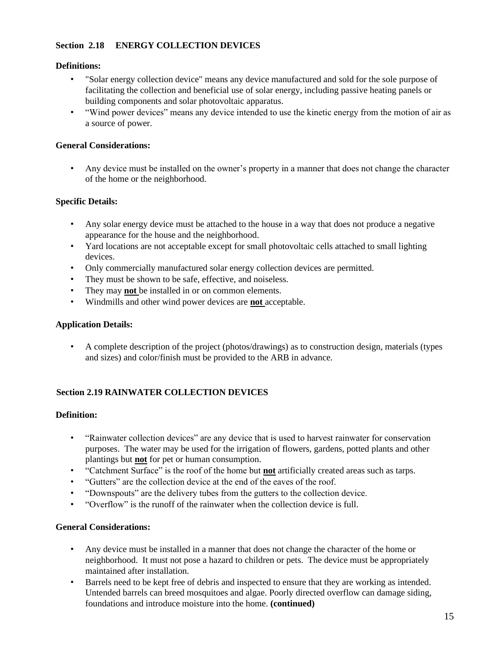#### **Section 2.18 ENERGY COLLECTION DEVICES**

#### **Definitions:**

- "Solar energy collection device" means any device manufactured and sold for the sole purpose of facilitating the collection and beneficial use of solar energy, including passive heating panels or building components and solar photovoltaic apparatus.
- "Wind power devices" means any device intended to use the kinetic energy from the motion of air as a source of power.

#### **General Considerations:**

• Any device must be installed on the owner's property in a manner that does not change the character of the home or the neighborhood.

#### **Specific Details:**

- Any solar energy device must be attached to the house in a way that does not produce a negative appearance for the house and the neighborhood.
- Yard locations are not acceptable except for small photovoltaic cells attached to small lighting devices.
- Only commercially manufactured solar energy collection devices are permitted.
- They must be shown to be safe, effective, and noiseless.
- They may **not** be installed in or on common elements.
- Windmills and other wind power devices are **not** acceptable.

#### **Application Details:**

• A complete description of the project (photos/drawings) as to construction design, materials (types and sizes) and color/finish must be provided to the ARB in advance.

#### **Section 2.19 RAINWATER COLLECTION DEVICES**

#### **Definition:**

- "Rainwater collection devices" are any device that is used to harvest rainwater for conservation purposes. The water may be used for the irrigation of flowers, gardens, potted plants and other plantings but **not** for pet or human consumption.
- "Catchment Surface" is the roof of the home but **not** artificially created areas such as tarps.
- "Gutters" are the collection device at the end of the eaves of the roof.
- "Downspouts" are the delivery tubes from the gutters to the collection device.
- "Overflow" is the runoff of the rainwater when the collection device is full.

#### **General Considerations:**

- Any device must be installed in a manner that does not change the character of the home or neighborhood. It must not pose a hazard to children or pets. The device must be appropriately maintained after installation.
- Barrels need to be kept free of debris and inspected to ensure that they are working as intended. Untended barrels can breed mosquitoes and algae. Poorly directed overflow can damage siding, foundations and introduce moisture into the home. **(continued)**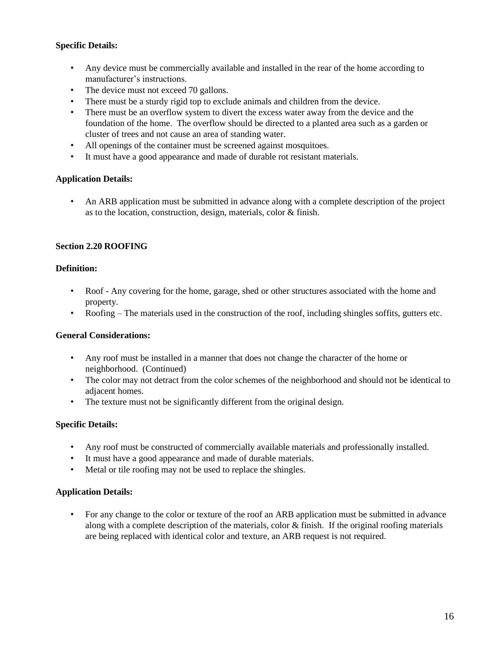#### **Specific Details:**

- Any device must be commercially available and installed in the rear of the home according to manufacturer's instructions.
- The device must not exceed 70 gallons.
- There must be a sturdy rigid top to exclude animals and children from the device.
- There must be an overflow system to divert the excess water away from the device and the foundation of the home. The overflow should be directed to a planted area such as a garden or cluster of trees and not cause an area of standing water.
- All openings of the container must be screened against mosquitoes.
- It must have a good appearance and made of durable rot resistant materials.

#### **Application Details:**

• An ARB application must be submitted in advance along with a complete description of the project as to the location, construction, design, materials, color & finish.

#### **Section 2.20 ROOFING**

#### **Definition:**

- Roof Any covering for the home, garage, shed or other structures associated with the home and property.
- Roofing The materials used in the construction of the roof, including shingles soffits, gutters etc.

#### **General Considerations:**

- Any roof must be installed in a manner that does not change the character of the home or neighborhood. (Continued)
- The color may not detract from the color schemes of the neighborhood and should not be identical to adiacent homes.
- The texture must not be significantly different from the original design.

#### **Specific Details:**

- Any roof must be constructed of commercially available materials and professionally installed.
- It must have a good appearance and made of durable materials.
- Metal or tile roofing may not be used to replace the shingles.

#### **Application Details:**

• For any change to the color or texture of the roof an ARB application must be submitted in advance along with a complete description of the materials, color & finish. If the original roofing materials are being replaced with identical color and texture, an ARB request is not required.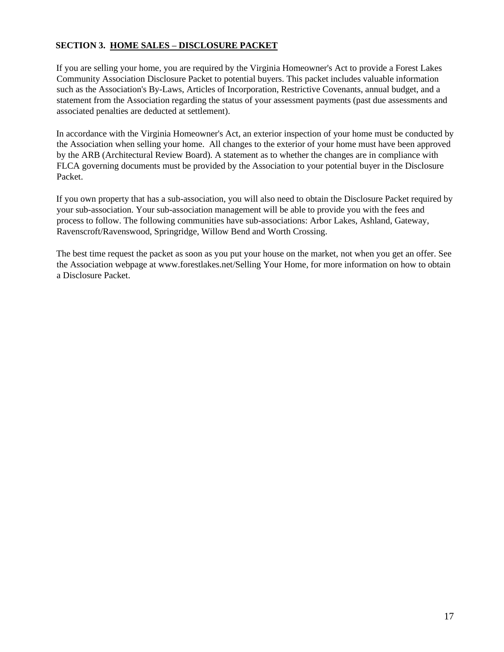#### **SECTION 3. HOME SALES – DISCLOSURE PACKET**

If you are selling your home, you are required by the Virginia Homeowner's Act to provide a Forest Lakes Community Association Disclosure Packet to potential buyers. This packet includes valuable information such as the Association's By-Laws, Articles of Incorporation, Restrictive Covenants, annual budget, and a statement from the Association regarding the status of your assessment payments (past due assessments and associated penalties are deducted at settlement).

In accordance with the Virginia Homeowner's Act, an exterior inspection of your home must be conducted by the Association when selling your home. All changes to the exterior of your home must have been approved by the ARB (Architectural Review Board). A statement as to whether the changes are in compliance with FLCA governing documents must be provided by the Association to your potential buyer in the Disclosure Packet.

If you own property that has a sub-association, you will also need to obtain the Disclosure Packet required by your sub-association. Your sub-association management will be able to provide you with the fees and process to follow. The following communities have sub-associations: Arbor Lakes, Ashland, Gateway, Ravenscroft/Ravenswood, Springridge, Willow Bend and Worth Crossing.

The best time request the packet as soon as you put your house on the market, not when you get an offer. See the Association webpage at www.forestlakes.net/Selling Your Home, for more information on how to obtain a Disclosure Packet.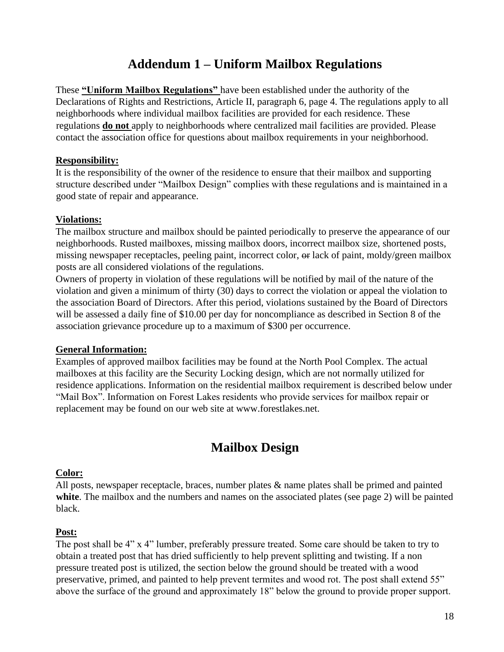### **Addendum 1 – Uniform Mailbox Regulations**

These **"Uniform Mailbox Regulations"** have been established under the authority of the Declarations of Rights and Restrictions, Article II, paragraph 6, page 4. The regulations apply to all neighborhoods where individual mailbox facilities are provided for each residence. These regulations **do not** apply to neighborhoods where centralized mail facilities are provided. Please contact the association office for questions about mailbox requirements in your neighborhood.

#### **Responsibility:**

It is the responsibility of the owner of the residence to ensure that their mailbox and supporting structure described under "Mailbox Design" complies with these regulations and is maintained in a good state of repair and appearance.

#### **Violations:**

The mailbox structure and mailbox should be painted periodically to preserve the appearance of our neighborhoods. Rusted mailboxes, missing mailbox doors, incorrect mailbox size, shortened posts, missing newspaper receptacles, peeling paint, incorrect color,  $\Theta$ r lack of paint, moldy/green mailbox posts are all considered violations of the regulations.

Owners of property in violation of these regulations will be notified by mail of the nature of the violation and given a minimum of thirty (30) days to correct the violation or appeal the violation to the association Board of Directors. After this period, violations sustained by the Board of Directors will be assessed a daily fine of \$10.00 per day for noncompliance as described in Section 8 of the association grievance procedure up to a maximum of \$300 per occurrence.

#### **General Information:**

Examples of approved mailbox facilities may be found at the North Pool Complex. The actual mailboxes at this facility are the Security Locking design, which are not normally utilized for residence applications. Information on the residential mailbox requirement is described below under "Mail Box". Information on Forest Lakes residents who provide services for mailbox repair or replacement may be found on our web site at www.forestlakes.net.

## **Mailbox Design**

#### **Color:**

All posts, newspaper receptacle, braces, number plates  $\&$  name plates shall be primed and painted white. The mailbox and the numbers and names on the associated plates (see page 2) will be painted black.

#### **Post:**

The post shall be 4" x 4" lumber, preferably pressure treated. Some care should be taken to try to obtain a treated post that has dried sufficiently to help prevent splitting and twisting. If a non pressure treated post is utilized, the section below the ground should be treated with a wood preservative, primed, and painted to help prevent termites and wood rot. The post shall extend 55" above the surface of the ground and approximately 18" below the ground to provide proper support.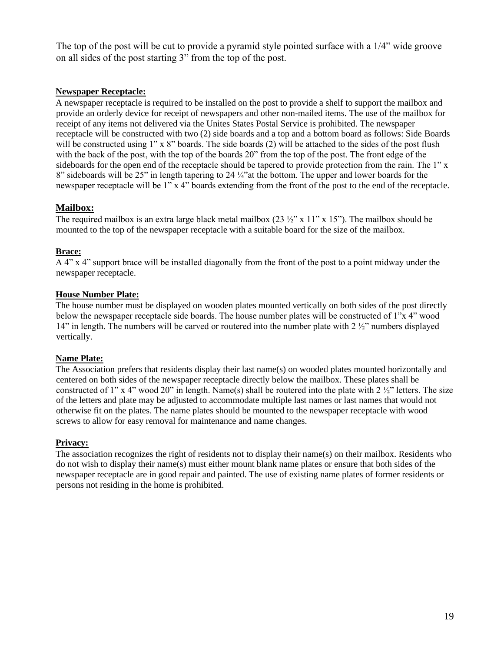The top of the post will be cut to provide a pyramid style pointed surface with a 1/4" wide groove on all sides of the post starting 3" from the top of the post.

#### **Newspaper Receptacle:**

A newspaper receptacle is required to be installed on the post to provide a shelf to support the mailbox and provide an orderly device for receipt of newspapers and other non-mailed items. The use of the mailbox for receipt of any items not delivered via the Unites States Postal Service is prohibited. The newspaper receptacle will be constructed with two (2) side boards and a top and a bottom board as follows: Side Boards will be constructed using 1" x 8" boards. The side boards (2) will be attached to the sides of the post flush with the back of the post, with the top of the boards 20" from the top of the post. The front edge of the sideboards for the open end of the receptacle should be tapered to provide protection from the rain. The 1" x 8" sideboards will be 25" in length tapering to 24 ¼"at the bottom. The upper and lower boards for the newspaper receptacle will be 1" x 4" boards extending from the front of the post to the end of the receptacle.

#### **Mailbox:**

The required mailbox is an extra large black metal mailbox  $(23 \frac{1}{2} \times 11" \times 15")$ . The mailbox should be mounted to the top of the newspaper receptacle with a suitable board for the size of the mailbox.

#### **Brace:**

A 4" x 4" support brace will be installed diagonally from the front of the post to a point midway under the newspaper receptacle.

#### **House Number Plate:**

The house number must be displayed on wooden plates mounted vertically on both sides of the post directly below the newspaper receptacle side boards. The house number plates will be constructed of 1"x 4" wood 14" in length. The numbers will be carved or routered into the number plate with 2 ½" numbers displayed vertically.

#### **Name Plate:**

The Association prefers that residents display their last name(s) on wooded plates mounted horizontally and centered on both sides of the newspaper receptacle directly below the mailbox. These plates shall be constructed of 1" x 4" wood 20" in length. Name(s) shall be routered into the plate with  $2 \frac{1}{2}$ " letters. The size of the letters and plate may be adjusted to accommodate multiple last names or last names that would not otherwise fit on the plates. The name plates should be mounted to the newspaper receptacle with wood screws to allow for easy removal for maintenance and name changes.

#### **Privacy:**

The association recognizes the right of residents not to display their name(s) on their mailbox. Residents who do not wish to display their name(s) must either mount blank name plates or ensure that both sides of the newspaper receptacle are in good repair and painted. The use of existing name plates of former residents or persons not residing in the home is prohibited.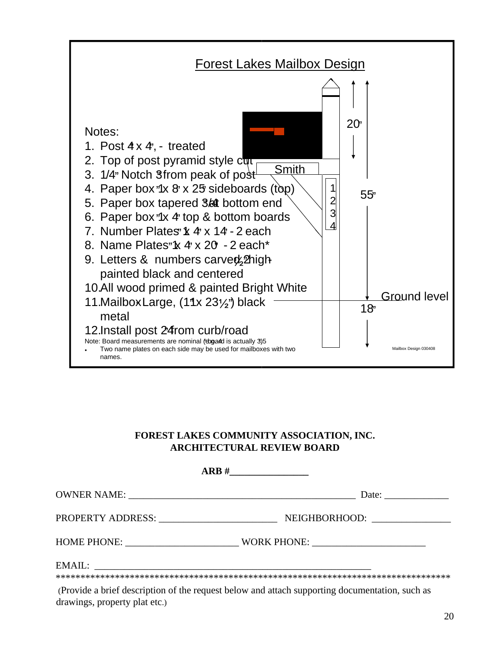

#### **FOREST LAKES COMMUNITY ASSOCIATION, INC. ARCHITECTURAL REVIEW BOARD**

|                                             | ARB#<br>the company of the company of the |
|---------------------------------------------|-------------------------------------------|
|                                             | Date:                                     |
| PROPERTY ADDRESS: NAME OF PROPERTY ADDRESS: | NEIGHBORHOOD:                             |
| HOME PHONE:                                 |                                           |
| EMAIL:                                      |                                           |

(Provide a brief description of the request below and attach supporting documentation, such as drawings, property plat etc.)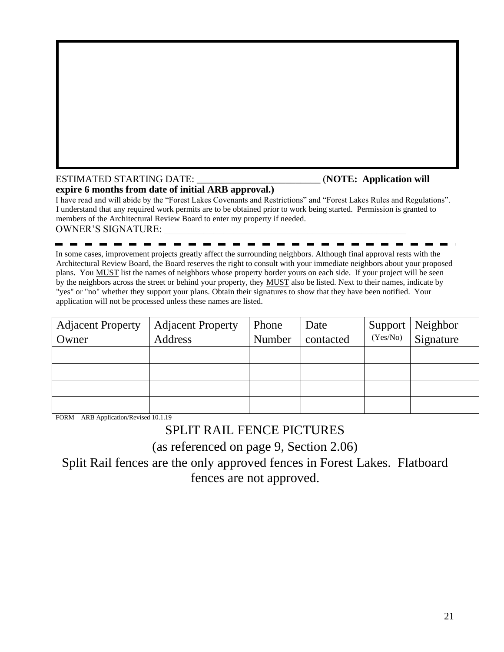#### ESTIMATED STARTING DATE: \_\_\_\_\_\_\_\_\_\_\_\_\_\_\_\_\_\_\_\_\_\_\_\_\_ (**NOTE: Application will**

### **expire 6 months from date of initial ARB approval.)**

I have read and will abide by the "Forest Lakes Covenants and Restrictions" and "Forest Lakes Rules and Regulations". I understand that any required work permits are to be obtained prior to work being started. Permission is granted to members of the Architectural Review Board to enter my property if needed. OWNER'S SIGNATURE:

In some cases, improvement projects greatly affect the surrounding neighbors. Although final approval rests with the Architectural Review Board, the Board reserves the right to consult with your immediate neighbors about your proposed plans. You MUST list the names of neighbors whose property border yours on each side. If your project will be seen by the neighbors across the street or behind your property, they MUST also be listed. Next to their names, indicate by "yes" or "no" whether they support your plans. Obtain their signatures to show that they have been notified. Your application will not be processed unless these names are listed.

| <b>Adjacent Property</b> | <b>Adjacent Property</b> | Phone  | Date      |          | Support   Neighbor |
|--------------------------|--------------------------|--------|-----------|----------|--------------------|
| Owner                    | Address                  | Number | contacted | (Yes/No) | Signature          |
|                          |                          |        |           |          |                    |
|                          |                          |        |           |          |                    |
|                          |                          |        |           |          |                    |
|                          |                          |        |           |          |                    |

FORM – ARB Application/Revised 10.1.19

### SPLIT RAIL FENCE PICTURES

(as referenced on page 9, Section 2.06)

Split Rail fences are the only approved fences in Forest Lakes. Flatboard fences are not approved.